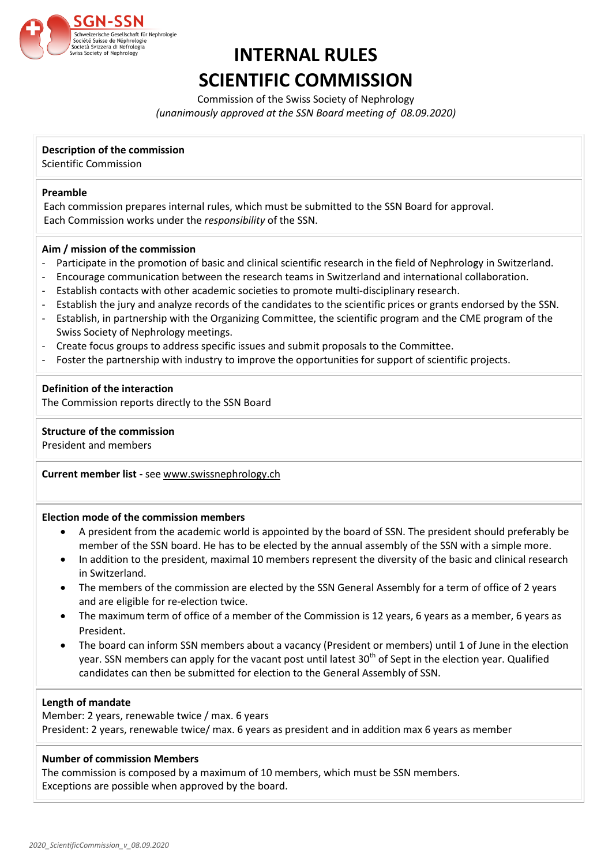

# **INTERNAL RULES SCIENTIFIC COMMISSION**

Commission of the Swiss Society of Nephrology *(unanimously approved at the SSN Board meeting of 08.09.2020)*

## **Description of the commission**

Scientific Commission

## **Preamble**

Each commission prepares internal rules, which must be submitted to the SSN Board for approval. Each Commission works under the *responsibility* of the SSN.

## **Aim / mission of the commission**

- Participate in the promotion of basic and clinical scientific research in the field of Nephrology in Switzerland.
- Encourage communication between the research teams in Switzerland and international collaboration.
- Establish contacts with other academic societies to promote multi-disciplinary research.
- Establish the jury and analyze records of the candidates to the scientific prices or grants endorsed by the SSN.
- Establish, in partnership with the Organizing Committee, the scientific program and the CME program of the Swiss Society of Nephrology meetings.
- Create focus groups to address specific issues and submit proposals to the Committee.
- Foster the partnership with industry to improve the opportunities for support of scientific projects.

## **Definition of the interaction**

The Commission reports directly to the SSN Board

## **Structure of the commission**

President and members

**Current member list -** see [www.swissnephrology.ch](http://www.swissnephrology.ch/)

#### **Election mode of the commission members**

- A president from the academic world is appointed by the board of SSN. The president should preferably be member of the SSN board. He has to be elected by the annual assembly of the SSN with a simple more.
- In addition to the president, maximal 10 members represent the diversity of the basic and clinical research in Switzerland.
- The members of the commission are elected by the SSN General Assembly for a term of office of 2 years and are eligible for re-election twice.
- The maximum term of office of a member of the Commission is 12 years, 6 years as a member, 6 years as President.
- The board can inform SSN members about a vacancy (President or members) until 1 of June in the election year. SSN members can apply for the vacant post until latest 30<sup>th</sup> of Sept in the election year. Qualified candidates can then be submitted for election to the General Assembly of SSN.

## **Length of mandate**

Member: 2 years, renewable twice / max. 6 years President: 2 years, renewable twice/ max. 6 years as president and in addition max 6 years as member

### **Number of commission Members**

The commission is composed by a maximum of 10 members, which must be SSN members. Exceptions are possible when approved by the board.